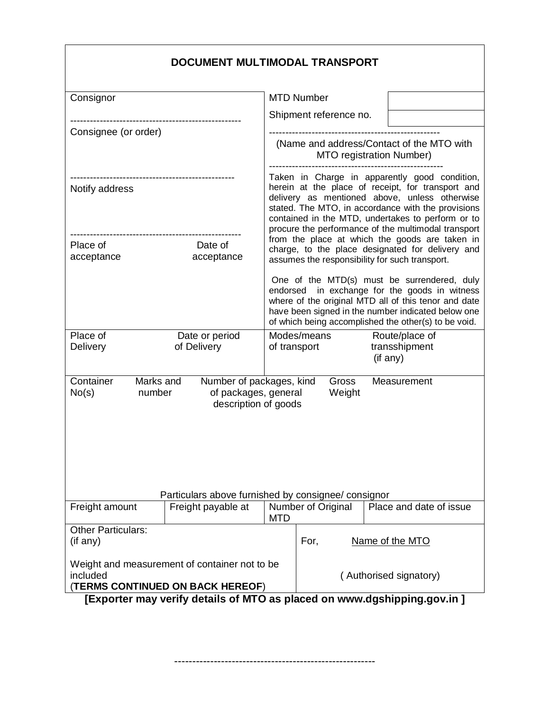|                                                          | DOCUMENT MULTIMODAL TRANSPORT                                            |                                                                                                                                                                                                                                                                                                                       |                                                                                                                                                                                                                                                                    |                                                                                                                                                      |  |
|----------------------------------------------------------|--------------------------------------------------------------------------|-----------------------------------------------------------------------------------------------------------------------------------------------------------------------------------------------------------------------------------------------------------------------------------------------------------------------|--------------------------------------------------------------------------------------------------------------------------------------------------------------------------------------------------------------------------------------------------------------------|------------------------------------------------------------------------------------------------------------------------------------------------------|--|
| Consignor                                                |                                                                          |                                                                                                                                                                                                                                                                                                                       | <b>MTD Number</b>                                                                                                                                                                                                                                                  |                                                                                                                                                      |  |
|                                                          |                                                                          |                                                                                                                                                                                                                                                                                                                       | Shipment reference no.                                                                                                                                                                                                                                             |                                                                                                                                                      |  |
| Consignee (or order)                                     |                                                                          | (Name and address/Contact of the MTO with<br>MTO registration Number)                                                                                                                                                                                                                                                 |                                                                                                                                                                                                                                                                    |                                                                                                                                                      |  |
|                                                          |                                                                          |                                                                                                                                                                                                                                                                                                                       |                                                                                                                                                                                                                                                                    |                                                                                                                                                      |  |
| --------------------------------------<br>Notify address |                                                                          | Taken in Charge in apparently good condition,<br>herein at the place of receipt, for transport and<br>delivery as mentioned above, unless otherwise<br>stated. The MTO, in accordance with the provisions<br>contained in the MTD, undertakes to perform or to<br>procure the performance of the multimodal transport |                                                                                                                                                                                                                                                                    |                                                                                                                                                      |  |
| Place of<br>Date of<br>acceptance<br>acceptance          |                                                                          |                                                                                                                                                                                                                                                                                                                       |                                                                                                                                                                                                                                                                    | from the place at which the goods are taken in<br>charge, to the place designated for delivery and<br>assumes the responsibility for such transport. |  |
|                                                          |                                                                          |                                                                                                                                                                                                                                                                                                                       | One of the MTD(s) must be surrendered, duly<br>endorsed in exchange for the goods in witness<br>where of the original MTD all of this tenor and date<br>have been signed in the number indicated below one<br>of which being accomplished the other(s) to be void. |                                                                                                                                                      |  |
| Place of<br>Delivery                                     | Date or period<br>of Delivery                                            | of transport                                                                                                                                                                                                                                                                                                          | Modes/means                                                                                                                                                                                                                                                        | Route/place of<br>transshipment<br>(if any)                                                                                                          |  |
| Container<br>Marks and<br>No(s)<br>number                | Number of packages, kind<br>of packages, general<br>description of goods |                                                                                                                                                                                                                                                                                                                       | Gross<br>Weight                                                                                                                                                                                                                                                    | Measurement                                                                                                                                          |  |
|                                                          | Particulars above furnished by consignee/ consignor                      |                                                                                                                                                                                                                                                                                                                       |                                                                                                                                                                                                                                                                    |                                                                                                                                                      |  |
| Freight amount<br>Freight payable at                     |                                                                          | <b>MTD</b>                                                                                                                                                                                                                                                                                                            | Number of Original<br>Place and date of issue                                                                                                                                                                                                                      |                                                                                                                                                      |  |
| <b>Other Particulars:</b><br>(if any)                    |                                                                          |                                                                                                                                                                                                                                                                                                                       | For,                                                                                                                                                                                                                                                               | Name of the MTO                                                                                                                                      |  |
| included                                                 | Weight and measurement of container not to be                            | (Authorised signatory)                                                                                                                                                                                                                                                                                                |                                                                                                                                                                                                                                                                    |                                                                                                                                                      |  |

(**TERMS CONTINUED ON BACK HEREOF**)

**[Exporter may verify details of MTO as placed on www.dgshipping.gov.in ]**

--------------------------------------------------------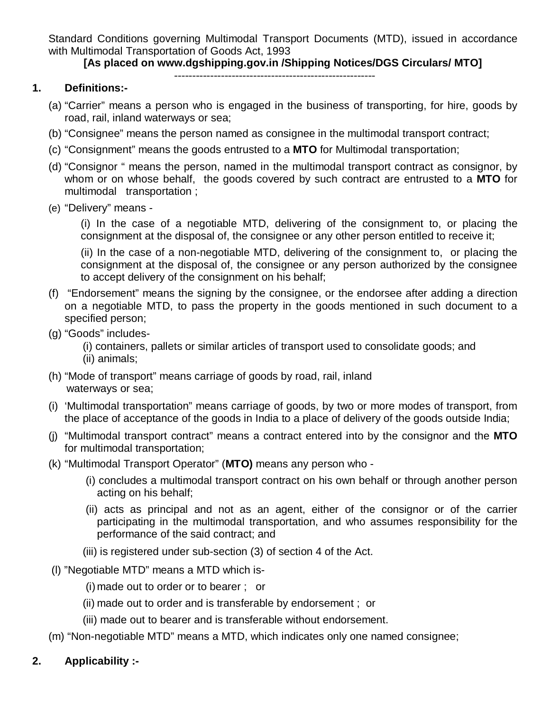Standard Conditions governing Multimodal Transport Documents (MTD), issued in accordance with Multimodal Transportation of Goods Act, 1993

#### **[As placed on www.dgshipping.gov.in /Shipping Notices/DGS Circulars/ MTO]**

#### --------------------------------------------------------

#### **1. Definitions:-**

- (a) "Carrier" means a person who is engaged in the business of transporting, for hire, goods by road, rail, inland waterways or sea;
- (b) "Consignee" means the person named as consignee in the multimodal transport contract;
- (c) "Consignment" means the goods entrusted to a **MTO** for Multimodal transportation;
- (d) "Consignor " means the person, named in the multimodal transport contract as consignor, by whom or on whose behalf, the goods covered by such contract are entrusted to a **MTO** for multimodal transportation ;
- (e) "Delivery" means -

(i) In the case of a negotiable MTD, delivering of the consignment to, or placing the consignment at the disposal of, the consignee or any other person entitled to receive it;

(ii) In the case of a non-negotiable MTD, delivering of the consignment to, or placing the consignment at the disposal of, the consignee or any person authorized by the consignee to accept delivery of the consignment on his behalf;

- (f) "Endorsement" means the signing by the consignee, or the endorsee after adding a direction on a negotiable MTD, to pass the property in the goods mentioned in such document to a specified person;
- (g) "Goods" includes-
	- (i) containers, pallets or similar articles of transport used to consolidate goods; and (ii) animals;
- (h) "Mode of transport" means carriage of goods by road, rail, inland waterways or sea;
- (i) 'Multimodal transportation" means carriage of goods, by two or more modes of transport, from the place of acceptance of the goods in India to a place of delivery of the goods outside India;
- (j) "Multimodal transport contract" means a contract entered into by the consignor and the **MTO** for multimodal transportation;
- (k) "Multimodal Transport Operator" (**MTO)** means any person who
	- (i) concludes a multimodal transport contract on his own behalf or through another person acting on his behalf;
	- (ii) acts as principal and not as an agent, either of the consignor or of the carrier participating in the multimodal transportation, and who assumes responsibility for the performance of the said contract; and
	- (iii) is registered under sub-section (3) of section 4 of the Act.
- (l) "Negotiable MTD" means a MTD which is-

(i) made out to order or to bearer ; or

- (ii) made out to order and is transferable by endorsement ; or
- (iii) made out to bearer and is transferable without endorsement.
- (m) "Non-negotiable MTD" means a MTD, which indicates only one named consignee;
- **2. Applicability :-**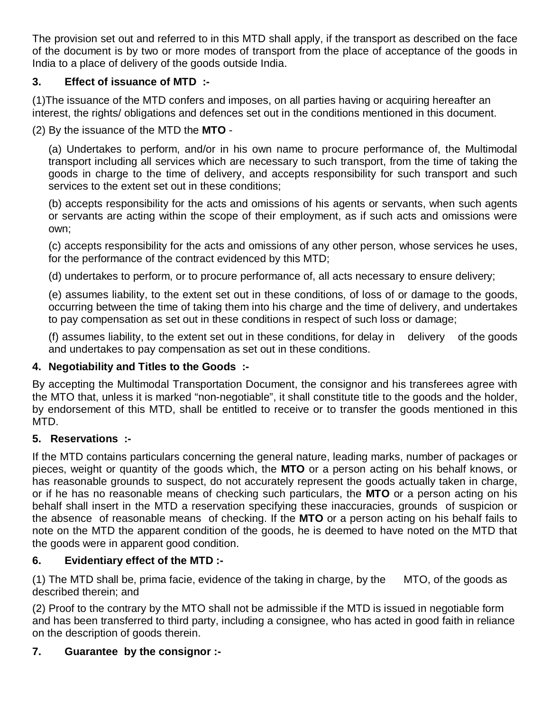The provision set out and referred to in this MTD shall apply, if the transport as described on the face of the document is by two or more modes of transport from the place of acceptance of the goods in India to a place of delivery of the goods outside India.

## **3. Effect of issuance of MTD :-**

(1)The issuance of the MTD confers and imposes, on all parties having or acquiring hereafter an interest, the rights/ obligations and defences set out in the conditions mentioned in this document.

(2) By the issuance of the MTD the **MTO** -

(a) Undertakes to perform, and/or in his own name to procure performance of, the Multimodal transport including all services which are necessary to such transport, from the time of taking the goods in charge to the time of delivery, and accepts responsibility for such transport and such services to the extent set out in these conditions;

(b) accepts responsibility for the acts and omissions of his agents or servants, when such agents or servants are acting within the scope of their employment, as if such acts and omissions were own;

(c) accepts responsibility for the acts and omissions of any other person, whose services he uses, for the performance of the contract evidenced by this MTD;

(d) undertakes to perform, or to procure performance of, all acts necessary to ensure delivery;

(e) assumes liability, to the extent set out in these conditions, of loss of or damage to the goods, occurring between the time of taking them into his charge and the time of delivery, and undertakes to pay compensation as set out in these conditions in respect of such loss or damage;

(f) assumes liability, to the extent set out in these conditions, for delay in delivery of the goods and undertakes to pay compensation as set out in these conditions.

# **4. Negotiability and Titles to the Goods :-**

By accepting the Multimodal Transportation Document, the consignor and his transferees agree with the MTO that, unless it is marked "non-negotiable", it shall constitute title to the goods and the holder, by endorsement of this MTD, shall be entitled to receive or to transfer the goods mentioned in this MTD.

# **5. Reservations :-**

If the MTD contains particulars concerning the general nature, leading marks, number of packages or pieces, weight or quantity of the goods which, the **MTO** or a person acting on his behalf knows, or has reasonable grounds to suspect, do not accurately represent the goods actually taken in charge, or if he has no reasonable means of checking such particulars, the **MTO** or a person acting on his behalf shall insert in the MTD a reservation specifying these inaccuracies, grounds of suspicion or the absence of reasonable means of checking. If the **MTO** or a person acting on his behalf fails to note on the MTD the apparent condition of the goods, he is deemed to have noted on the MTD that the goods were in apparent good condition.

# **6. Evidentiary effect of the MTD :-**

(1) The MTD shall be, prima facie, evidence of the taking in charge, by the MTO, of the goods as described therein; and

(2) Proof to the contrary by the MTO shall not be admissible if the MTD is issued in negotiable form and has been transferred to third party, including a consignee, who has acted in good faith in reliance on the description of goods therein.

# **7. Guarantee by the consignor :-**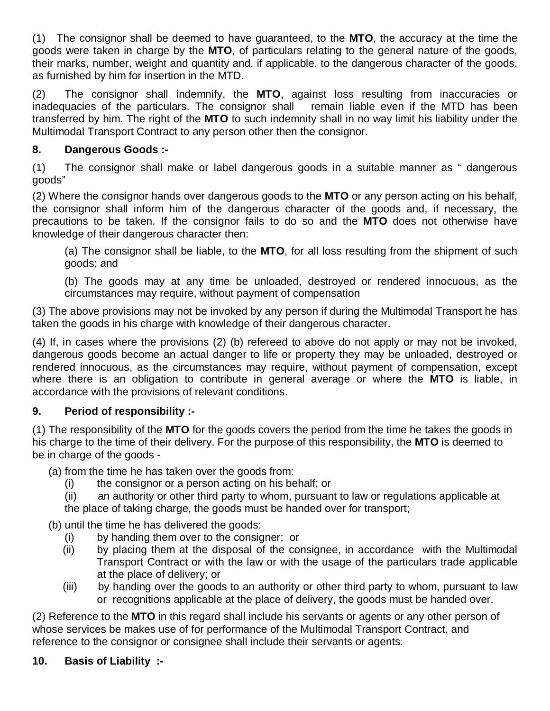(1) The consignor shall be deemed to have guaranteed, to the **MTO**, the accuracy at the time the goods were taken in charge by the **MTO**, of particulars relating to the general nature of the goods, their marks, number, weight and quantity and, if applicable, to the dangerous character of the goods, as furnished by him for insertion in the MTD.

(2) The consignor shall indemnify, the **MTO**, against loss resulting from inaccuracies or inadequacies of the particulars. The consignor shall remain liable even if the MTD has been transferred by him. The right of the **MTO** to such indemnity shall in no way limit his liability under the Multimodal Transport Contract to any person other then the consignor.

## **8. Dangerous Goods :-**

(1) The consignor shall make or label dangerous goods in a suitable manner as " dangerous goods"

(2) Where the consignor hands over dangerous goods to the **MTO** or any person acting on his behalf, the consignor shall inform him of the dangerous character of the goods and, if necessary, the precautions to be taken. If the consignor fails to do so and the **MTO** does not otherwise have knowledge of their dangerous character then:

(a) The consignor shall be liable, to the **MTO**, for all loss resulting from the shipment of such goods; and

(b) The goods may at any time be unloaded, destroyed or rendered innocuous, as the circumstances may require, without payment of compensation

(3) The above provisions may not be invoked by any person if during the Multimodal Transport he has taken the goods in his charge with knowledge of their dangerous character.

(4) If, in cases where the provisions (2) (b) refereed to above do not apply or may not be invoked, dangerous goods become an actual danger to life or property they may be unloaded, destroyed or rendered innocuous, as the circumstances may require, without payment of compensation, except where there is an obligation to contribute in general average or where the **MTO** is liable, in accordance with the provisions of relevant conditions.

## **9. Period of responsibility :-**

(1) The responsibility of the **MTO** for the goods covers the period from the time he takes the goods in his charge to the time of their delivery. For the purpose of this responsibility, the **MTO** is deemed to be in charge of the goods -

(a) from the time he has taken over the goods from:

(i) the consignor or a person acting on his behalf; or

 (ii) an authority or other third party to whom, pursuant to law or regulations applicable at the place of taking charge, the goods must be handed over for transport;

(b) until the time he has delivered the goods:

- (i) by handing them over to the consigner; or
- (ii) by placing them at the disposal of the consignee, in accordance with the Multimodal Transport Contract or with the law or with the usage of the particulars trade applicable at the place of delivery; or
- (iii) by handing over the goods to an authority or other third party to whom, pursuant to law or recognitions applicable at the place of delivery, the goods must be handed over.

(2) Reference to the **MTO** in this regard shall include his servants or agents or any other person of whose services be makes use of for performance of the Multimodal Transport Contract, and reference to the consignor or consignee shall include their servants or agents.

**10. Basis of Liability :-**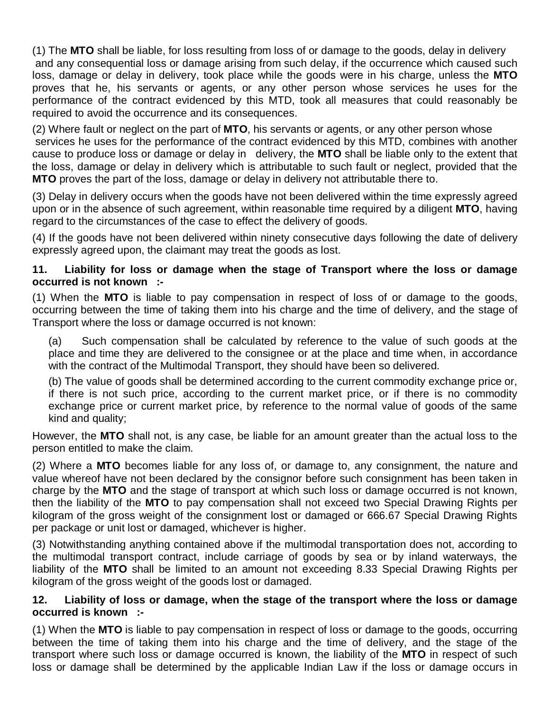(1) The **MTO** shall be liable, for loss resulting from loss of or damage to the goods, delay in delivery and any consequential loss or damage arising from such delay, if the occurrence which caused such loss, damage or delay in delivery, took place while the goods were in his charge, unless the **MTO** proves that he, his servants or agents, or any other person whose services he uses for the performance of the contract evidenced by this MTD, took all measures that could reasonably be required to avoid the occurrence and its consequences.

(2) Where fault or neglect on the part of **MTO**, his servants or agents, or any other person whose services he uses for the performance of the contract evidenced by this MTD, combines with another cause to produce loss or damage or delay in delivery, the **MTO** shall be liable only to the extent that the loss, damage or delay in delivery which is attributable to such fault or neglect, provided that the **MTO** proves the part of the loss, damage or delay in delivery not attributable there to.

(3) Delay in delivery occurs when the goods have not been delivered within the time expressly agreed upon or in the absence of such agreement, within reasonable time required by a diligent **MTO**, having regard to the circumstances of the case to effect the delivery of goods.

(4) If the goods have not been delivered within ninety consecutive days following the date of delivery expressly agreed upon, the claimant may treat the goods as lost.

#### **11. Liability for loss or damage when the stage of Transport where the loss or damage occurred is not known :-**

(1) When the **MTO** is liable to pay compensation in respect of loss of or damage to the goods, occurring between the time of taking them into his charge and the time of delivery, and the stage of Transport where the loss or damage occurred is not known:

(a) Such compensation shall be calculated by reference to the value of such goods at the place and time they are delivered to the consignee or at the place and time when, in accordance with the contract of the Multimodal Transport, they should have been so delivered.

(b) The value of goods shall be determined according to the current commodity exchange price or, if there is not such price, according to the current market price, or if there is no commodity exchange price or current market price, by reference to the normal value of goods of the same kind and quality;

However, the **MTO** shall not, is any case, be liable for an amount greater than the actual loss to the person entitled to make the claim.

(2) Where a **MTO** becomes liable for any loss of, or damage to, any consignment, the nature and value whereof have not been declared by the consignor before such consignment has been taken in charge by the **MTO** and the stage of transport at which such loss or damage occurred is not known, then the liability of the **MTO** to pay compensation shall not exceed two Special Drawing Rights per kilogram of the gross weight of the consignment lost or damaged or 666.67 Special Drawing Rights per package or unit lost or damaged, whichever is higher.

(3) Notwithstanding anything contained above if the multimodal transportation does not, according to the multimodal transport contract, include carriage of goods by sea or by inland waterways, the liability of the **MTO** shall be limited to an amount not exceeding 8.33 Special Drawing Rights per kilogram of the gross weight of the goods lost or damaged.

#### **12. Liability of loss or damage, when the stage of the transport where the loss or damage occurred is known :-**

(1) When the **MTO** is liable to pay compensation in respect of loss or damage to the goods, occurring between the time of taking them into his charge and the time of delivery, and the stage of the transport where such loss or damage occurred is known, the liability of the **MTO** in respect of such loss or damage shall be determined by the applicable Indian Law if the loss or damage occurs in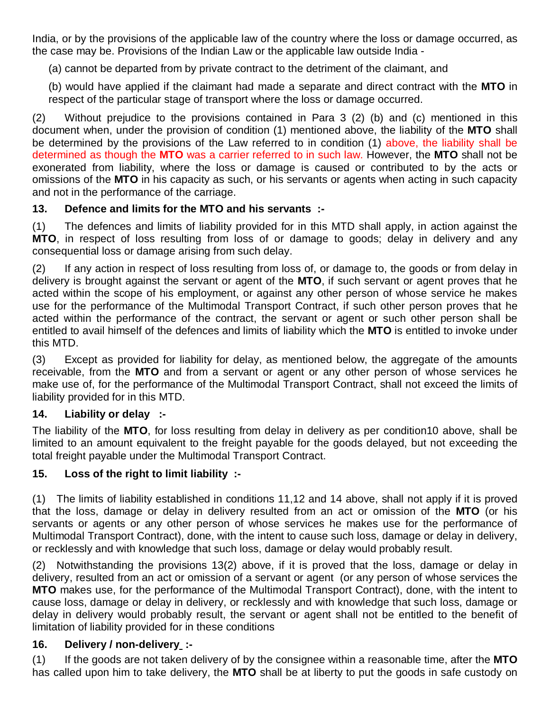India, or by the provisions of the applicable law of the country where the loss or damage occurred, as the case may be. Provisions of the Indian Law or the applicable law outside India -

(a) cannot be departed from by private contract to the detriment of the claimant, and

(b) would have applied if the claimant had made a separate and direct contract with the **MTO** in respect of the particular stage of transport where the loss or damage occurred.

(2) Without prejudice to the provisions contained in Para 3 (2) (b) and (c) mentioned in this document when, under the provision of condition (1) mentioned above, the liability of the **MTO** shall be determined by the provisions of the Law referred to in condition (1) above, the liability shall be determined as though the **MTO** was a carrier referred to in such law. However, the **MTO** shall not be exonerated from liability, where the loss or damage is caused or contributed to by the acts or omissions of the **MTO** in his capacity as such, or his servants or agents when acting in such capacity and not in the performance of the carriage.

## **13. Defence and limits for the MTO and his servants :-**

(1) The defences and limits of liability provided for in this MTD shall apply, in action against the **MTO**, in respect of loss resulting from loss of or damage to goods; delay in delivery and any consequential loss or damage arising from such delay.

(2) If any action in respect of loss resulting from loss of, or damage to, the goods or from delay in delivery is brought against the servant or agent of the **MTO**, if such servant or agent proves that he acted within the scope of his employment, or against any other person of whose service he makes use for the performance of the Multimodal Transport Contract, if such other person proves that he acted within the performance of the contract, the servant or agent or such other person shall be entitled to avail himself of the defences and limits of liability which the **MTO** is entitled to invoke under this MTD.

(3) Except as provided for liability for delay, as mentioned below, the aggregate of the amounts receivable, from the **MTO** and from a servant or agent or any other person of whose services he make use of, for the performance of the Multimodal Transport Contract, shall not exceed the limits of liability provided for in this MTD.

## **14. Liability or delay :-**

The liability of the **MTO**, for loss resulting from delay in delivery as per condition10 above, shall be limited to an amount equivalent to the freight payable for the goods delayed, but not exceeding the total freight payable under the Multimodal Transport Contract.

## **15. Loss of the right to limit liability :-**

(1) The limits of liability established in conditions 11,12 and 14 above, shall not apply if it is proved that the loss, damage or delay in delivery resulted from an act or omission of the **MTO** (or his servants or agents or any other person of whose services he makes use for the performance of Multimodal Transport Contract), done, with the intent to cause such loss, damage or delay in delivery, or recklessly and with knowledge that such loss, damage or delay would probably result.

(2) Notwithstanding the provisions 13(2) above, if it is proved that the loss, damage or delay in delivery, resulted from an act or omission of a servant or agent (or any person of whose services the **MTO** makes use, for the performance of the Multimodal Transport Contract), done, with the intent to cause loss, damage or delay in delivery, or recklessly and with knowledge that such loss, damage or delay in delivery would probably result, the servant or agent shall not be entitled to the benefit of limitation of liability provided for in these conditions

## **16. Delivery / non-delivery :-**

(1) If the goods are not taken delivery of by the consignee within a reasonable time, after the **MTO** has called upon him to take delivery, the **MTO** shall be at liberty to put the goods in safe custody on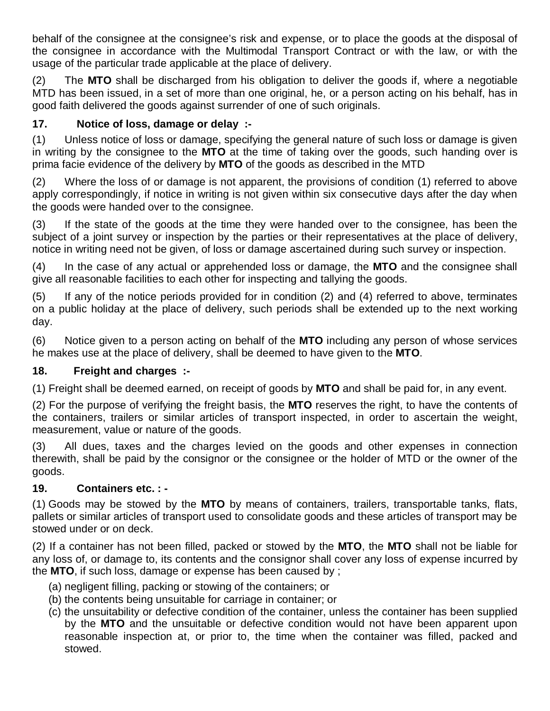behalf of the consignee at the consignee's risk and expense, or to place the goods at the disposal of the consignee in accordance with the Multimodal Transport Contract or with the law, or with the usage of the particular trade applicable at the place of delivery.

(2) The **MTO** shall be discharged from his obligation to deliver the goods if, where a negotiable MTD has been issued, in a set of more than one original, he, or a person acting on his behalf, has in good faith delivered the goods against surrender of one of such originals.

## **17. Notice of loss, damage or delay :-**

(1) Unless notice of loss or damage, specifying the general nature of such loss or damage is given in writing by the consignee to the **MTO** at the time of taking over the goods, such handing over is prima facie evidence of the delivery by **MTO** of the goods as described in the MTD

(2) Where the loss of or damage is not apparent, the provisions of condition (1) referred to above apply correspondingly, if notice in writing is not given within six consecutive days after the day when the goods were handed over to the consignee.

(3) If the state of the goods at the time they were handed over to the consignee, has been the subject of a joint survey or inspection by the parties or their representatives at the place of delivery, notice in writing need not be given, of loss or damage ascertained during such survey or inspection.

(4) In the case of any actual or apprehended loss or damage, the **MTO** and the consignee shall give all reasonable facilities to each other for inspecting and tallying the goods.

(5) If any of the notice periods provided for in condition (2) and (4) referred to above, terminates on a public holiday at the place of delivery, such periods shall be extended up to the next working day.

(6) Notice given to a person acting on behalf of the **MTO** including any person of whose services he makes use at the place of delivery, shall be deemed to have given to the **MTO**.

## **18. Freight and charges :-**

(1) Freight shall be deemed earned, on receipt of goods by **MTO** and shall be paid for, in any event.

(2) For the purpose of verifying the freight basis, the **MTO** reserves the right, to have the contents of the containers, trailers or similar articles of transport inspected, in order to ascertain the weight, measurement, value or nature of the goods.

(3) All dues, taxes and the charges levied on the goods and other expenses in connection therewith, shall be paid by the consignor or the consignee or the holder of MTD or the owner of the goods.

## **19. Containers etc. : -**

(1) Goods may be stowed by the **MTO** by means of containers, trailers, transportable tanks, flats, pallets or similar articles of transport used to consolidate goods and these articles of transport may be stowed under or on deck.

(2) If a container has not been filled, packed or stowed by the **MTO**, the **MTO** shall not be liable for any loss of, or damage to, its contents and the consignor shall cover any loss of expense incurred by the **MTO**, if such loss, damage or expense has been caused by ;

- (a) negligent filling, packing or stowing of the containers; or
- (b) the contents being unsuitable for carriage in container; or
- (c) the unsuitability or defective condition of the container, unless the container has been supplied by the **MTO** and the unsuitable or defective condition would not have been apparent upon reasonable inspection at, or prior to, the time when the container was filled, packed and stowed.